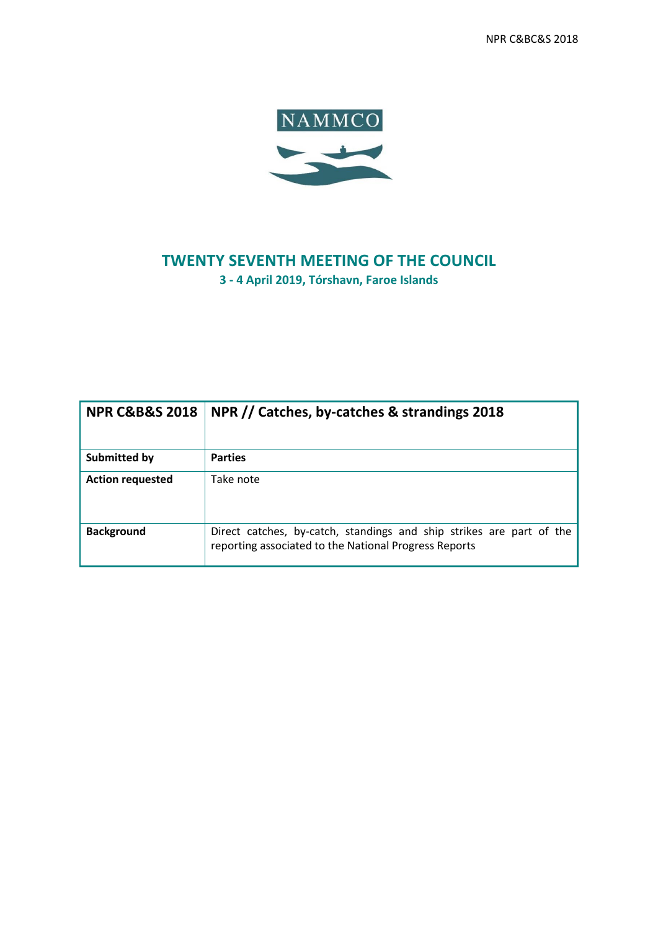NPR C&BC&S 2018



## **TWENTY SEVENTH MEETING OF THE COUNCIL 3 - 4 April 2019, Tórshavn, Faroe Islands**

| <b>NPR C&amp;B&amp;S 2018</b> | NPR // Catches, by-catches & strandings 2018                                                                                  |  |  |  |  |  |
|-------------------------------|-------------------------------------------------------------------------------------------------------------------------------|--|--|--|--|--|
| Submitted by                  | <b>Parties</b>                                                                                                                |  |  |  |  |  |
| <b>Action requested</b>       | Take note                                                                                                                     |  |  |  |  |  |
| <b>Background</b>             | Direct catches, by-catch, standings and ship strikes are part of the<br>reporting associated to the National Progress Reports |  |  |  |  |  |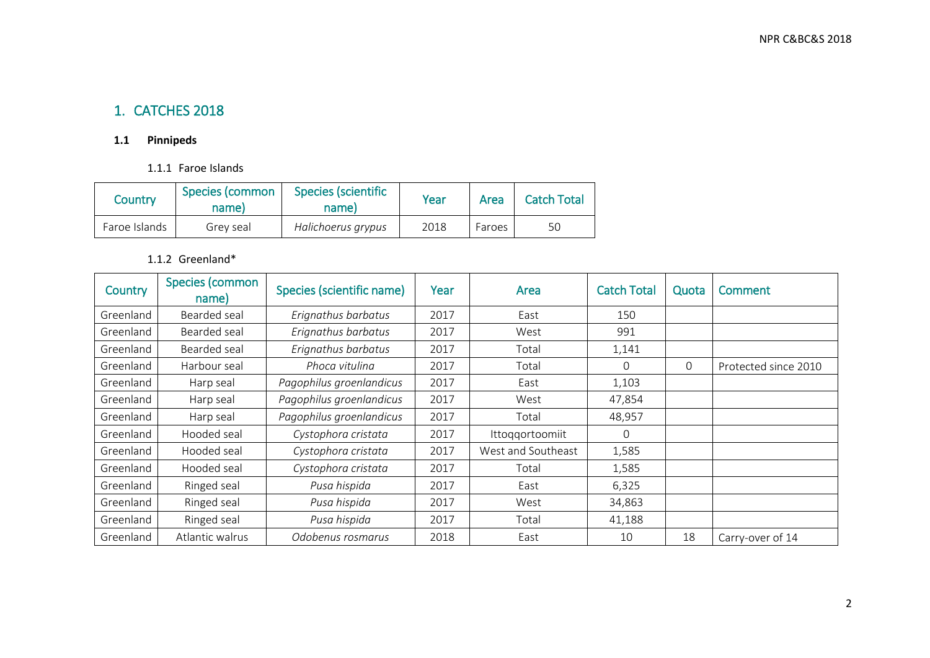## 1. CATCHES 2018

#### **1.1 Pinnipeds**

#### 1.1.1 Faroe Islands

| Country       | Species (scientific<br>Species (common<br>name)<br>name) |                    | Year | Area   | <b>Catch Total</b> |
|---------------|----------------------------------------------------------|--------------------|------|--------|--------------------|
| Faroe Islands | Grev seal                                                | Halichoerus grypus | 2018 | Faroes | 50                 |

#### 1.1.2 Greenland\*

| Country   | Species (common<br>name) | Species (scientific name) | Year | Area               | <b>Catch Total</b> | Quota    | <b>Comment</b>       |
|-----------|--------------------------|---------------------------|------|--------------------|--------------------|----------|----------------------|
| Greenland | Bearded seal             | Erignathus barbatus       | 2017 | East               | 150                |          |                      |
| Greenland | Bearded seal             | Erignathus barbatus       | 2017 | West               | 991                |          |                      |
| Greenland | Bearded seal             | Erignathus barbatus       | 2017 | Total              | 1,141              |          |                      |
| Greenland | Harbour seal             | Phoca vitulina            | 2017 | Total              | $\Omega$           | $\Omega$ | Protected since 2010 |
| Greenland | Harp seal                | Pagophilus groenlandicus  | 2017 | East               | 1,103              |          |                      |
| Greenland | Harp seal                | Pagophilus groenlandicus  | 2017 | West               | 47,854             |          |                      |
| Greenland | Harp seal                | Pagophilus groenlandicus  | 2017 | Total              | 48,957             |          |                      |
| Greenland | Hooded seal              | Cystophora cristata       | 2017 | Ittoqqortoomiit    | $\Omega$           |          |                      |
| Greenland | Hooded seal              | Cystophora cristata       | 2017 | West and Southeast | 1,585              |          |                      |
| Greenland | Hooded seal              | Cystophora cristata       | 2017 | Total              | 1,585              |          |                      |
| Greenland | Ringed seal              | Pusa hispida              | 2017 | East               | 6,325              |          |                      |
| Greenland | Ringed seal              | Pusa hispida              | 2017 | West               | 34,863             |          |                      |
| Greenland | Ringed seal              | Pusa hispida              | 2017 | Total              | 41,188             |          |                      |
| Greenland | Atlantic walrus          | Odobenus rosmarus         | 2018 | East               | 10                 | 18       | Carry-over of 14     |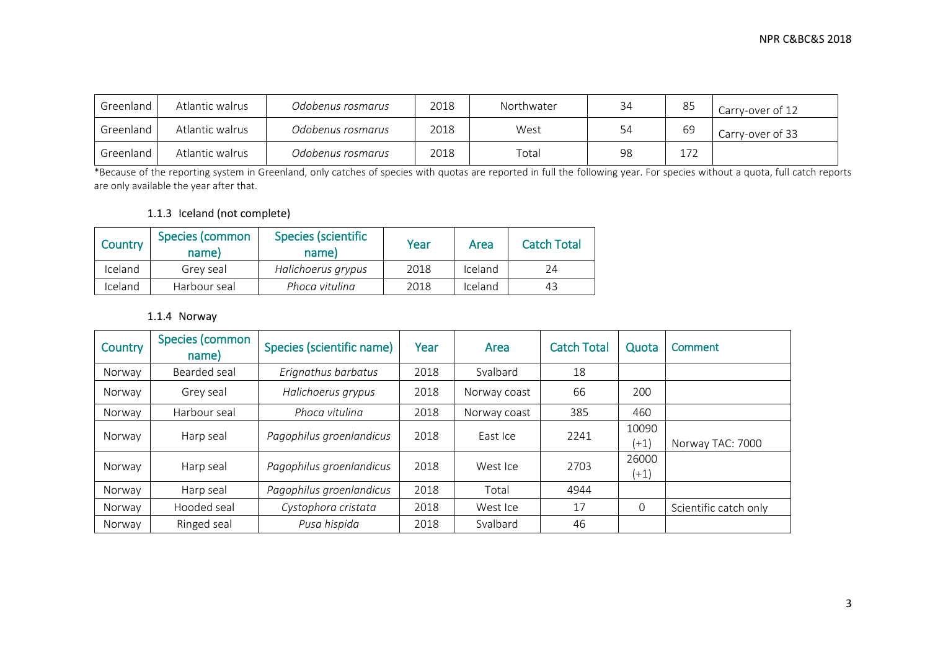| Greenland | Atlantic walrus | Odobenus rosmarus | 2018 | Northwater | 34 | 85  | Carry-over of 12 |
|-----------|-----------------|-------------------|------|------------|----|-----|------------------|
| Greenland | Atlantic walrus | Odobenus rosmarus | 2018 | West       | 54 | 69  | Carry-over of 33 |
| Greenland | Atlantic walrus | Odobenus rosmarus | 2018 | Total      | 98 | ר ר |                  |

\*Because of the reporting system in Greenland, only catches of species with quotas are reported in full the following year. For species without a quota, full catch reports are only available the year after that.

#### 1.1.3 Iceland (not complete)

| Country | Species (common<br>name) | <b>Species (scientific</b><br>name) | Year | Area    | <b>Catch Total</b> |
|---------|--------------------------|-------------------------------------|------|---------|--------------------|
| Iceland | Grev seal                | Halichoerus grypus                  | 2018 | Iceland | 24                 |
| Iceland | Harbour seal             | Phoca vitulina                      | 2018 | Iceland | 43                 |

#### 1.1.4 Norway

| Country | Species (common<br>name) | Species (scientific name) | Year | Area         | <b>Catch Total</b> | Quota           | <b>Comment</b>        |
|---------|--------------------------|---------------------------|------|--------------|--------------------|-----------------|-----------------------|
| Norway  | Bearded seal             | Erignathus barbatus       | 2018 | Svalbard     | 18                 |                 |                       |
| Norway  | Grey seal                | Halichoerus grypus        | 2018 | Norway coast | 66                 | 200             |                       |
| Norway  | Harbour seal             | Phoca vitulina            | 2018 | Norway coast | 385                | 460             |                       |
| Norway  | Harp seal                | Pagophilus groenlandicus  | 2018 | East Ice     | 2241               | 10090<br>$(+1)$ | Norway TAC: 7000      |
| Norway  | Harp seal                | Pagophilus groenlandicus  | 2018 | West Ice     | 2703               | 26000<br>$(+1)$ |                       |
| Norway  | Harp seal                | Pagophilus groenlandicus  | 2018 | Total        | 4944               |                 |                       |
| Norway  | Hooded seal              | Cystophora cristata       | 2018 | West Ice     | 17                 | 0               | Scientific catch only |
| Norway  | Ringed seal              | Pusa hispida              | 2018 | Svalbard     | 46                 |                 |                       |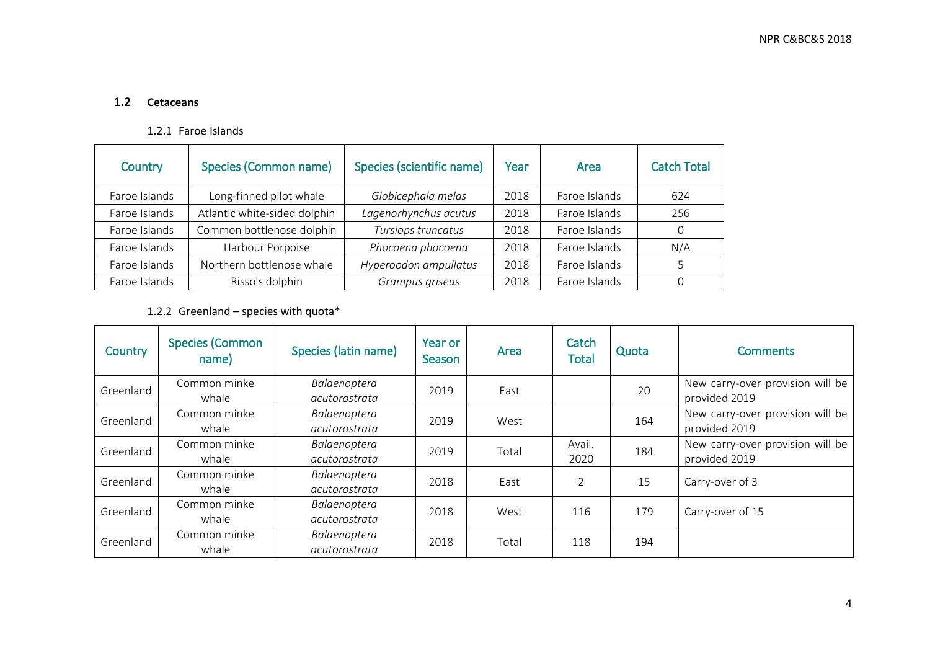#### **1.2 Cetaceans**

#### 1.2.1 Faroe Islands

| <b>Species (Common name)</b><br>Country |                              | Species (scientific name) | Year | Area          | <b>Catch Total</b> |
|-----------------------------------------|------------------------------|---------------------------|------|---------------|--------------------|
| Faroe Islands                           | Long-finned pilot whale      | Globicephala melas        | 2018 | Faroe Islands | 624                |
| Faroe Islands                           | Atlantic white-sided dolphin | Lagenorhynchus acutus     | 2018 | Faroe Islands | 256                |
| Faroe Islands                           | Common bottlenose dolphin    | Tursiops truncatus        | 2018 | Faroe Islands | $\overline{0}$     |
| Faroe Islands                           | Harbour Porpoise             | Phocoena phocoena         | 2018 | Faroe Islands | N/A                |
| Faroe Islands                           | Northern bottlenose whale    | Hyperoodon ampullatus     | 2018 | Faroe Islands | 5                  |
| Faroe Islands                           | Risso's dolphin              | Grampus griseus           | 2018 | Faroe Islands | 0                  |

### 1.2.2 Greenland – species with quota\*

| Country   | <b>Species (Common</b><br>name) | <b>Species (latin name)</b>   | Year or<br>Season | Area  | Catch<br><b>Total</b> | Quota | <b>Comments</b>                                   |
|-----------|---------------------------------|-------------------------------|-------------------|-------|-----------------------|-------|---------------------------------------------------|
| Greenland | Common minke<br>whale           | Balaenoptera<br>acutorostrata | 2019              | East  |                       | 20    | New carry-over provision will be<br>provided 2019 |
| Greenland | Common minke<br>whale           | Balaenoptera<br>acutorostrata | 2019              | West  |                       | 164   | New carry-over provision will be<br>provided 2019 |
| Greenland | Common minke<br>whale           | Balaenoptera<br>acutorostrata | 2019              | Total | Avail.<br>2020        | 184   | New carry-over provision will be<br>provided 2019 |
| Greenland | Common minke<br>whale           | Balaenoptera<br>acutorostrata | 2018              | East  | $\mathfrak{D}$        | 15    | Carry-over of 3                                   |
| Greenland | Common minke<br>whale           | Balaenoptera<br>acutorostrata | 2018              | West  | 116                   | 179   | Carry-over of 15                                  |
| Greenland | Common minke<br>whale           | Balaenoptera<br>acutorostrata | 2018              | Total | 118                   | 194   |                                                   |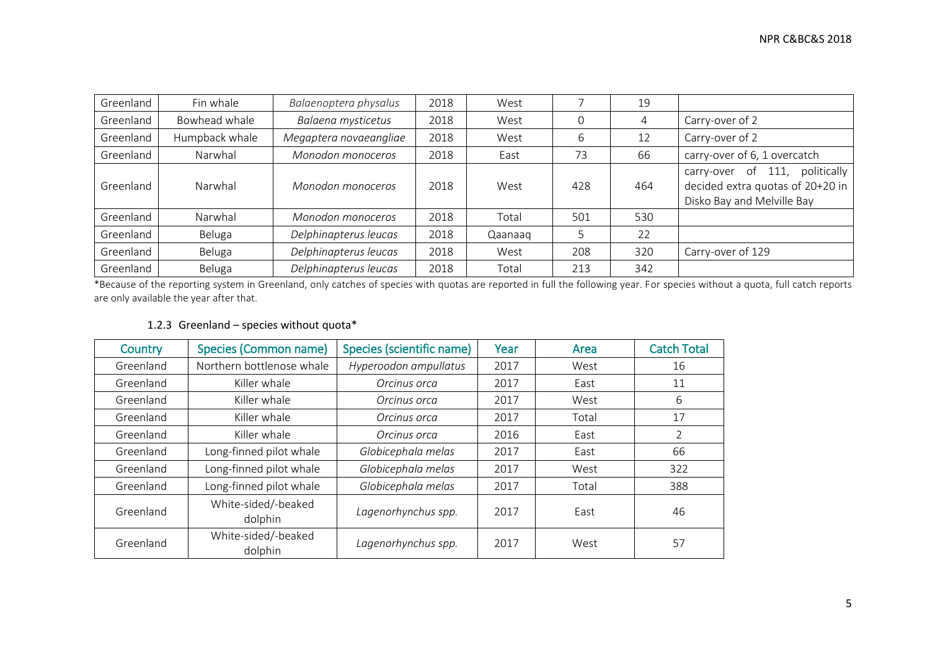| Greenland | Fin whale      | Balaenoptera physalus  | 2018 | West    |     | 19             |                                                                                                           |
|-----------|----------------|------------------------|------|---------|-----|----------------|-----------------------------------------------------------------------------------------------------------|
| Greenland | Bowhead whale  | Balaena mysticetus     | 2018 | West    | 0   | $\overline{4}$ | Carry-over of 2                                                                                           |
| Greenland | Humpback whale | Megaptera novaeangliae | 2018 | West    | 6   | 12             | Carry-over of 2                                                                                           |
| Greenland | Narwhal        | Monodon monoceros      | 2018 | East    | 73  | 66             | carry-over of 6, 1 overcatch                                                                              |
| Greenland | Narwhal        | Monodon monoceros      | 2018 | West    | 428 | 464            | politically<br>of<br>111,<br>carry-over<br>decided extra quotas of 20+20 in<br>Disko Bay and Melville Bay |
| Greenland | Narwhal        | Monodon monoceros      | 2018 | Total   | 501 | 530            |                                                                                                           |
| Greenland | Beluga         | Delphinapterus leucas  | 2018 | Qaanaaq | 5   | 22             |                                                                                                           |
| Greenland | Beluga         | Delphinapterus leucas  | 2018 | West    | 208 | 320            | Carry-over of 129                                                                                         |
| Greenland | Beluga         | Delphinapterus leucas  | 2018 | Total   | 213 | 342            |                                                                                                           |

\*Because of the reporting system in Greenland, only catches of species with quotas are reported in full the following year. For species without a quota, full catch reports are only available the year after that.

#### 1.2.3 Greenland – species without quota\*

| Country                                     | <b>Species (Common name)</b>                          | Species (scientific name) |      | Area  | <b>Catch Total</b> |
|---------------------------------------------|-------------------------------------------------------|---------------------------|------|-------|--------------------|
| Greenland                                   | Northern bottlenose whale                             | Hyperoodon ampullatus     | 2017 | West  | 16                 |
| Greenland                                   | Killer whale                                          | Orcinus orca              | 2017 | East  | 11                 |
| Greenland                                   | Killer whale                                          | Orcinus orca              | 2017 | West  | 6                  |
| Greenland                                   | Killer whale                                          | Orcinus orca              | 2017 | Total | 17                 |
| Killer whale<br>Greenland                   |                                                       | Orcinus orca              | 2016 | East  | $\overline{2}$     |
| Greenland                                   | Long-finned pilot whale                               | Globicephala melas        | 2017 | East  | 66                 |
| Greenland                                   | Long-finned pilot whale                               | Globicephala melas        | 2017 | West  | 322                |
| Greenland                                   | Long-finned pilot whale                               | Globicephala melas        | 2017 | Total | 388                |
| White-sided/-beaked<br>Greenland<br>dolphin |                                                       | Lagenorhynchus spp.       | 2017 | East  | 46                 |
| Greenland                                   | White-sided/-beaked<br>Lagenorhynchus spp.<br>dolphin |                           | 2017 | West  | 57                 |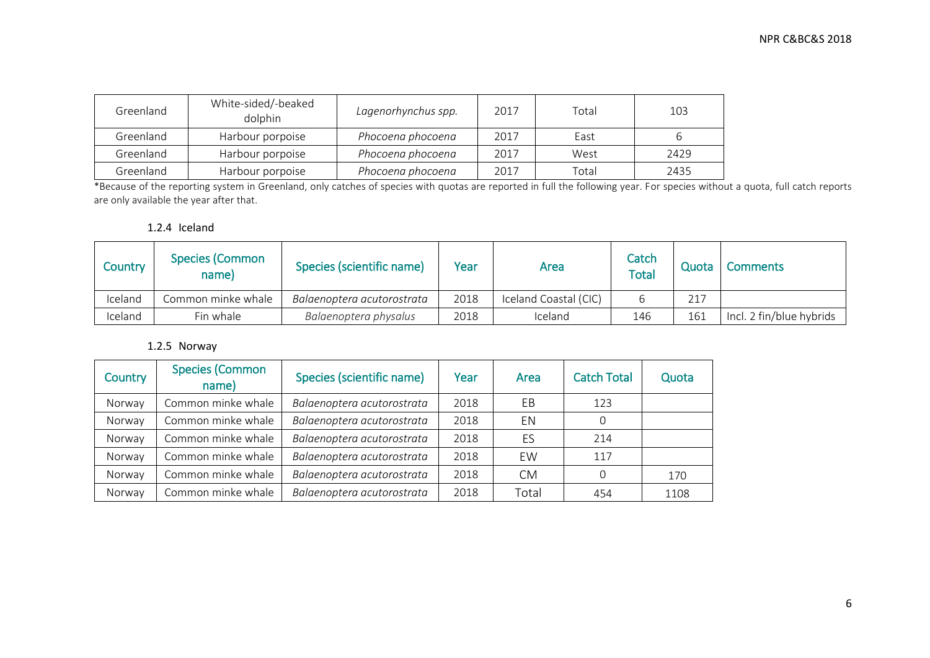| Greenland | White-sided/-beaked<br>dolphin | Lagenorhynchus spp. | 2017 | Total | 103  |
|-----------|--------------------------------|---------------------|------|-------|------|
| Greenland | Harbour porpoise               | Phocoena phocoena   | 2017 | East  |      |
| Greenland | Harbour porpoise               | Phocoena phocoena   | 2017 | West  | 2429 |
| Greenland | Harbour porpoise               | Phocoena phocoena   | 2017 | Total | 2435 |

\*Because of the reporting system in Greenland, only catches of species with quotas are reported in full the following year. For species without a quota, full catch reports are only available the year after that.

#### 1.2.4 Iceland

| Country | <b>Species (Common</b><br>name) | Species (scientific name)  | Year | Area                  | Catch<br>Total | Quota | <b>Comments</b>          |
|---------|---------------------------------|----------------------------|------|-----------------------|----------------|-------|--------------------------|
| Iceland | Common minke whale              | Balaenoptera acutorostrata | 2018 | Iceland Coastal (CIC) |                | 217   |                          |
| Iceland | Fin whale                       | Balaenoptera physalus      | 2018 | Iceland               | 146            | 161   | Incl. 2 fin/blue hybrids |

#### 1.2.5 Norway

| Country | <b>Species (Common</b><br>name) | Species (scientific name)  | Year | Area      | <b>Catch Total</b> | Quota |
|---------|---------------------------------|----------------------------|------|-----------|--------------------|-------|
| Norway  | Common minke whale              | Balaenoptera acutorostrata | 2018 | ΕB        | 123                |       |
| Norway  | Common minke whale              | Balaenoptera acutorostrata | 2018 | EN        | $\Omega$           |       |
| Norway  | Common minke whale              | Balaenoptera acutorostrata | 2018 | ES        | 214                |       |
| Norway  | Common minke whale              | Balaenoptera acutorostrata | 2018 | EW        | 117                |       |
| Norway  | Common minke whale              | Balaenoptera acutorostrata | 2018 | <b>CM</b> | $\Omega$           | 170   |
| Norway  | Common minke whale              | Balaenoptera acutorostrata | 2018 | Total     | 454                | 1108  |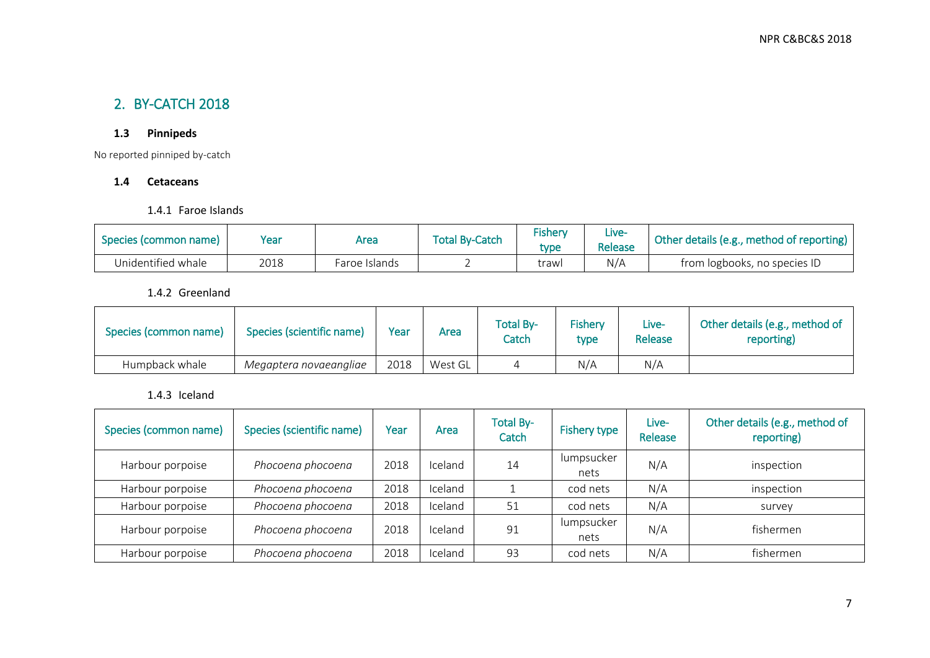## 2. BY-CATCH 2018

### **1.3 Pinnipeds**

No reported pinniped by-catch

#### **1.4 Cetaceans**

1.4.1 Faroe Islands

|                       | Year                  |      | <b>Total By-Catch</b> | <b>Fishery</b> | Live-   | Other details (e.g., method of reporting) |  |
|-----------------------|-----------------------|------|-----------------------|----------------|---------|-------------------------------------------|--|
| Species (common name) |                       | Area |                       | tvpe           | Release |                                           |  |
| Unidentified whale    | 2018<br>Faroe Islands |      |                       | trawl          | N/A     | from logbooks, no species ID              |  |

1.4.2 Greenland

| Species (common name) | Species (scientific name) | Year | Area    | <b>Total By-</b><br>Catch | Fishery<br>type | Live-<br>Release | Other details (e.g., method of<br>reporting) |
|-----------------------|---------------------------|------|---------|---------------------------|-----------------|------------------|----------------------------------------------|
| Humpback whale        | Megaptera novaeangliae    | 2018 | West GL |                           | N/A             | N/A              |                                              |

### 1.4.3 Iceland

| Species (common name) | Species (scientific name) | Year | Area    | <b>Total By-</b><br>Catch | Fishery type       | Live-<br>Release | Other details (e.g., method of<br>reporting) |
|-----------------------|---------------------------|------|---------|---------------------------|--------------------|------------------|----------------------------------------------|
| Harbour porpoise      | Phocoena phocoena         | 2018 | Iceland | 14                        | lumpsucker<br>nets | N/A              | inspection                                   |
| Harbour porpoise      | Phocoena phocoena         | 2018 | Iceland |                           | cod nets           | N/A              | inspection                                   |
| Harbour porpoise      | Phocoena phocoena         | 2018 | Iceland | 51                        | cod nets           | N/A              | survey                                       |
| Harbour porpoise      | Phocoena phocoena         | 2018 | Iceland | 91                        | lumpsucker<br>nets | N/A              | fishermen                                    |
| Harbour porpoise      | Phocoena phocoena         | 2018 | Iceland | 93                        | cod nets           | N/A              | fishermen                                    |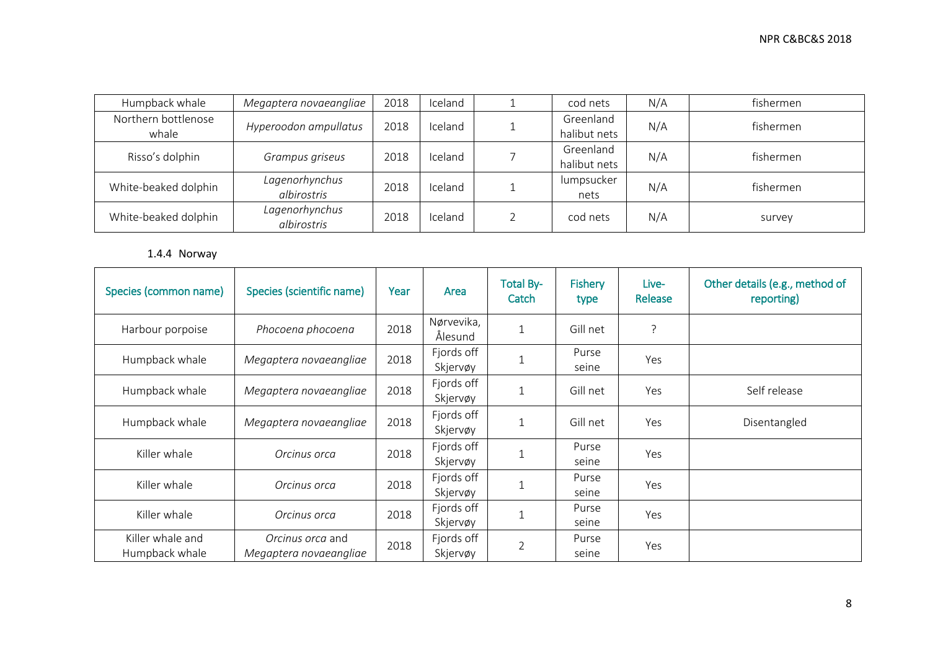| Humpback whale               | Megaptera novaeangliae        | 2018 | Iceland | cod nets                  | N/A | fishermen |
|------------------------------|-------------------------------|------|---------|---------------------------|-----|-----------|
| Northern bottlenose<br>whale | Hyperoodon ampullatus         | 2018 | Iceland | Greenland<br>halibut nets | N/A | fishermen |
| Risso's dolphin              | Grampus griseus               | 2018 | Iceland | Greenland<br>halibut nets | N/A | fishermen |
| White-beaked dolphin         | Lagenorhynchus<br>albirostris | 2018 | Iceland | lumpsucker<br>nets        | N/A | fishermen |
| White-beaked dolphin         | Lagenorhynchus<br>albirostris | 2018 | Iceland | cod nets                  | N/A | survey    |

### 1.4.4 Norway

| Species (common name)              | Species (scientific name)                  | Year | Area                   | <b>Total By-</b><br>Catch | <b>Fishery</b><br>type | Live-<br>Release | Other details (e.g., method of<br>reporting) |
|------------------------------------|--------------------------------------------|------|------------------------|---------------------------|------------------------|------------------|----------------------------------------------|
| Harbour porpoise                   | Phocoena phocoena                          | 2018 | Nørvevika,<br>Ålesund  | $\mathbf{1}$              | Gill net               | ?                |                                              |
| Humpback whale                     | Megaptera novaeangliae                     | 2018 | Fjords off<br>Skjervøy | $\mathbf{1}$              | Purse<br>seine         | Yes              |                                              |
| Humpback whale                     | Megaptera novaeangliae                     | 2018 | Fjords off<br>Skjervøy | $\mathbf{1}$              | Gill net               | Yes              | Self release                                 |
| Humpback whale                     | Megaptera novaeangliae                     | 2018 | Fjords off<br>Skjervøy | 1                         | Gill net               | Yes              | Disentangled                                 |
| Killer whale                       | Orcinus orca                               | 2018 | Fjords off<br>Skjervøy | $\mathbf 1$               | Purse<br>seine         | Yes              |                                              |
| Killer whale                       | Orcinus orca                               | 2018 | Fjords off<br>Skjervøy | 1                         | Purse<br>seine         | Yes              |                                              |
| Killer whale                       | Orcinus orca                               | 2018 | Fjords off<br>Skjervøy |                           | Purse<br>seine         | Yes              |                                              |
| Killer whale and<br>Humpback whale | Orcinus orca and<br>Megaptera novaeangliae | 2018 | Fjords off<br>Skjervøy | $\overline{2}$            | Purse<br>seine         | Yes              |                                              |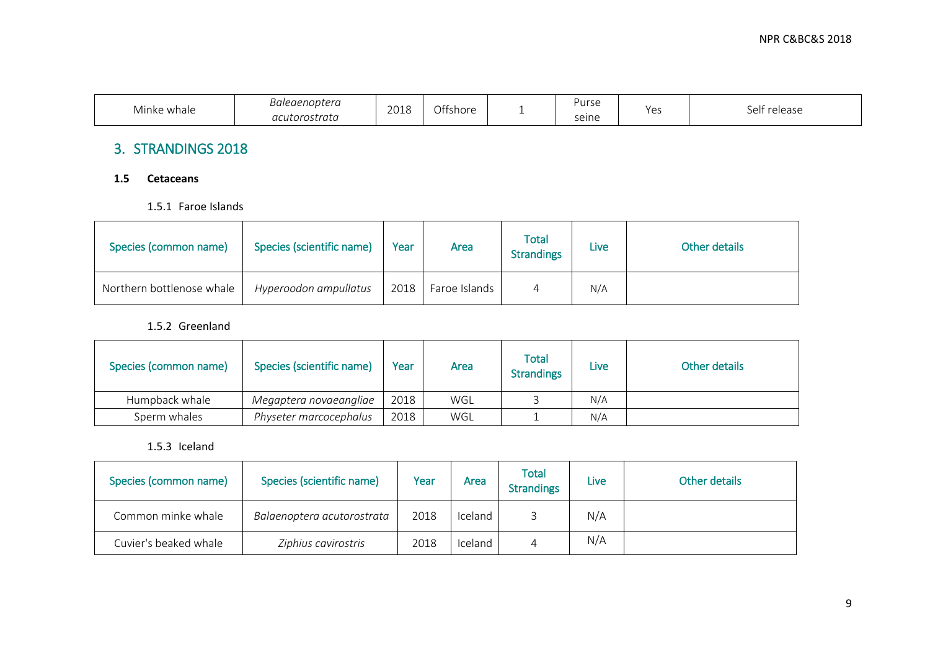| Minke whale | noptera<br>Baleaer | 201C<br>ZUIU | Offshore | Purse | Yes | . |
|-------------|--------------------|--------------|----------|-------|-----|---|
|             | acutorostrata      |              |          | seine |     |   |

## 3. STRANDINGS 2018

#### **1.5 Cetaceans**

1.5.1 Faroe Islands

| Species (common name)     | Species (scientific name) | Year | Area          | <b>Total</b><br><b>Strandings</b> | Live | Other details |
|---------------------------|---------------------------|------|---------------|-----------------------------------|------|---------------|
| Northern bottlenose whale | Hyperoodon ampullatus     | 2018 | Faroe Islands |                                   | N/A  |               |

#### 1.5.2 Greenland

| Species (common name) | Species (scientific name) | Year | Area | Total<br><b>Strandings</b> | Live | Other details |
|-----------------------|---------------------------|------|------|----------------------------|------|---------------|
| Humpback whale        | Megaptera novaeangliae    | 2018 | WGL  |                            | N/A  |               |
| Sperm whales          | Physeter marcocephalus    | 2018 | WGL  |                            | N/A  |               |

#### 1.5.3 Iceland

| Species (common name) | Species (scientific name)  | Year | Area    | <b>Total</b><br><b>Strandings</b> | Live | Other details |
|-----------------------|----------------------------|------|---------|-----------------------------------|------|---------------|
| Common minke whale    | Balaenoptera acutorostrata | 2018 | Iceland |                                   | N/A  |               |
| Cuvier's beaked whale | Ziphius cavirostris        | 2018 | Iceland |                                   | N/A  |               |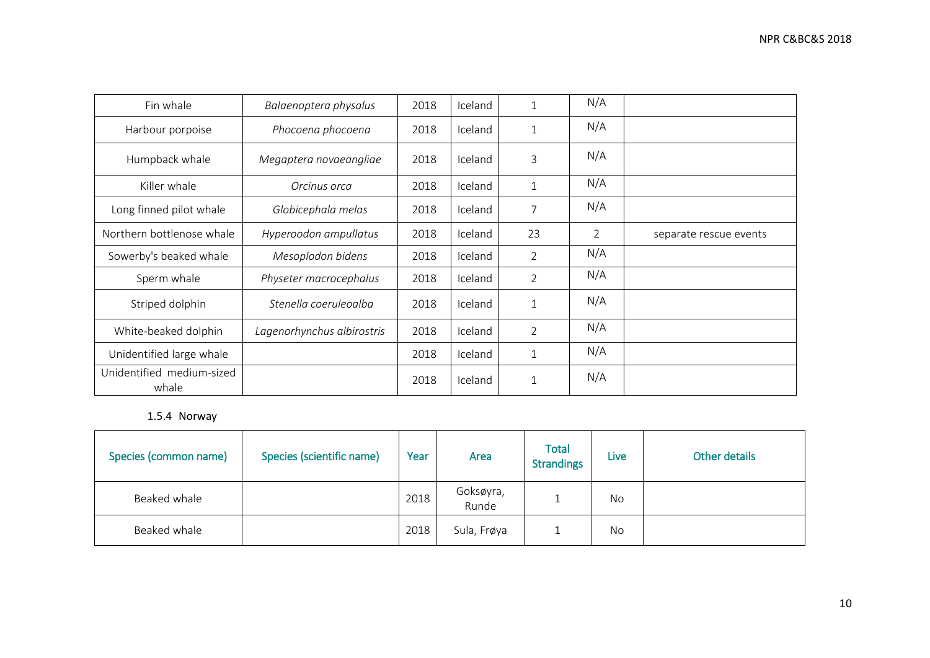| Fin whale                          | Balaenoptera physalus      | 2018 | Iceland |                | N/A            |                        |
|------------------------------------|----------------------------|------|---------|----------------|----------------|------------------------|
| Harbour porpoise                   | Phocoena phocoena          | 2018 | Iceland |                | N/A            |                        |
| Humpback whale                     | Megaptera novaeangliae     | 2018 | Iceland | 3              | N/A            |                        |
| Killer whale                       | Orcinus orca               | 2018 | Iceland | $\mathbf 1$    | N/A            |                        |
| Long finned pilot whale            | Globicephala melas         | 2018 | Iceland | 7              | N/A            |                        |
| Northern bottlenose whale          | Hyperoodon ampullatus      | 2018 | Iceland | 23             | $\overline{2}$ | separate rescue events |
| Sowerby's beaked whale             | Mesoplodon bidens          | 2018 | Iceland | $\overline{2}$ | N/A            |                        |
| Sperm whale                        | Physeter macrocephalus     | 2018 | Iceland | $\overline{2}$ | N/A            |                        |
| Striped dolphin                    | Stenella coeruleoalba      | 2018 | Iceland | $\mathbf 1$    | N/A            |                        |
| White-beaked dolphin               | Lagenorhynchus albirostris | 2018 | Iceland | $\overline{2}$ | N/A            |                        |
| Unidentified large whale           |                            | 2018 | Iceland | $\mathbf{1}$   | N/A            |                        |
| Unidentified medium-sized<br>whale |                            | 2018 | Iceland | $\mathbf 1$    | N/A            |                        |

1.5.4 Norway

| Species (common name) | Species (scientific name) | Year | Area               | <b>Total</b><br><b>Strandings</b> | Live | Other details |
|-----------------------|---------------------------|------|--------------------|-----------------------------------|------|---------------|
| Beaked whale          |                           | 2018 | Goksøyra,<br>Runde |                                   | No   |               |
| Beaked whale          |                           | 2018 | Sula, Frøya        |                                   | No   |               |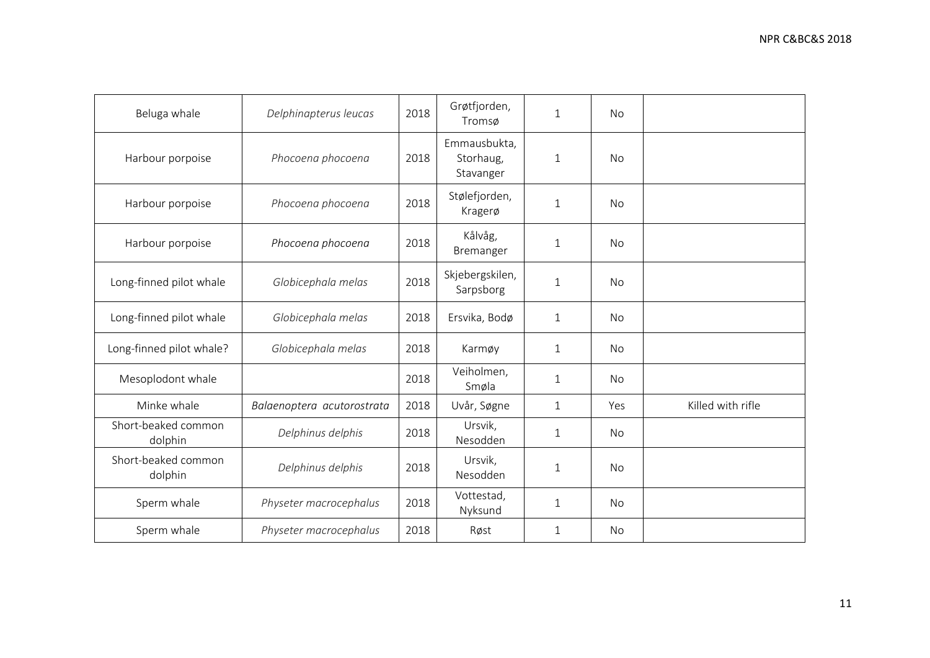| Beluga whale                   | Delphinapterus leucas      | 2018 | Grøtfjorden,<br>Tromsø                 | $\mathbf{1}$ | <b>No</b> |                   |
|--------------------------------|----------------------------|------|----------------------------------------|--------------|-----------|-------------------|
| Harbour porpoise               | Phocoena phocoena          | 2018 | Emmausbukta,<br>Storhaug,<br>Stavanger | $\mathbf{1}$ | <b>No</b> |                   |
| Harbour porpoise               | Phocoena phocoena          | 2018 | Stølefjorden,<br>Kragerø               | 1            | No        |                   |
| Harbour porpoise               | Phocoena phocoena          | 2018 | Kålvåg,<br>Bremanger                   | 1            | <b>No</b> |                   |
| Long-finned pilot whale        | Globicephala melas         | 2018 | Skjebergskilen,<br>Sarpsborg           | $\mathbf{1}$ | <b>No</b> |                   |
| Long-finned pilot whale        | Globicephala melas         | 2018 | Ersvika, Bodø                          | $\mathbf 1$  | No        |                   |
| Long-finned pilot whale?       | Globicephala melas         | 2018 | Karmøy                                 | $\mathbf{1}$ | No        |                   |
| Mesoplodont whale              |                            | 2018 | Veiholmen,<br>Smøla                    | $\mathbf 1$  | No        |                   |
| Minke whale                    | Balaenoptera acutorostrata | 2018 | Uvår, Søgne                            | $\mathbf{1}$ | Yes       | Killed with rifle |
| Short-beaked common<br>dolphin | Delphinus delphis          | 2018 | Ursvik,<br>Nesodden                    | $\mathbf 1$  | No        |                   |
| Short-beaked common<br>dolphin | Delphinus delphis          | 2018 | Ursvik,<br>Nesodden                    | 1            | <b>No</b> |                   |
| Sperm whale                    | Physeter macrocephalus     | 2018 | Vottestad,<br>Nyksund                  | $\mathbf 1$  | <b>No</b> |                   |
| Sperm whale                    | Physeter macrocephalus     | 2018 | Røst                                   | $\mathbf{1}$ | No        |                   |